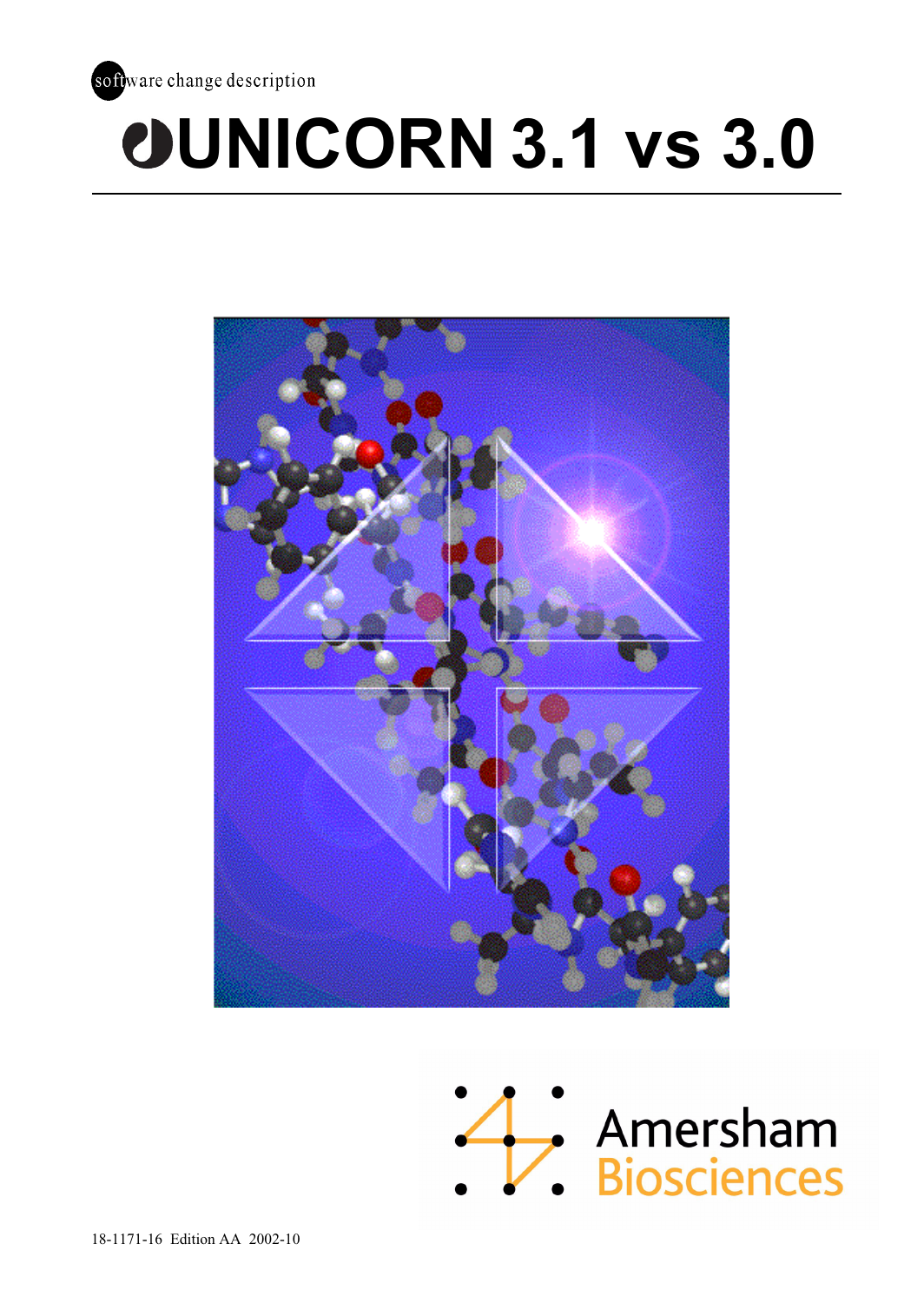

# **UNICORN 3.1 vs 3.0**



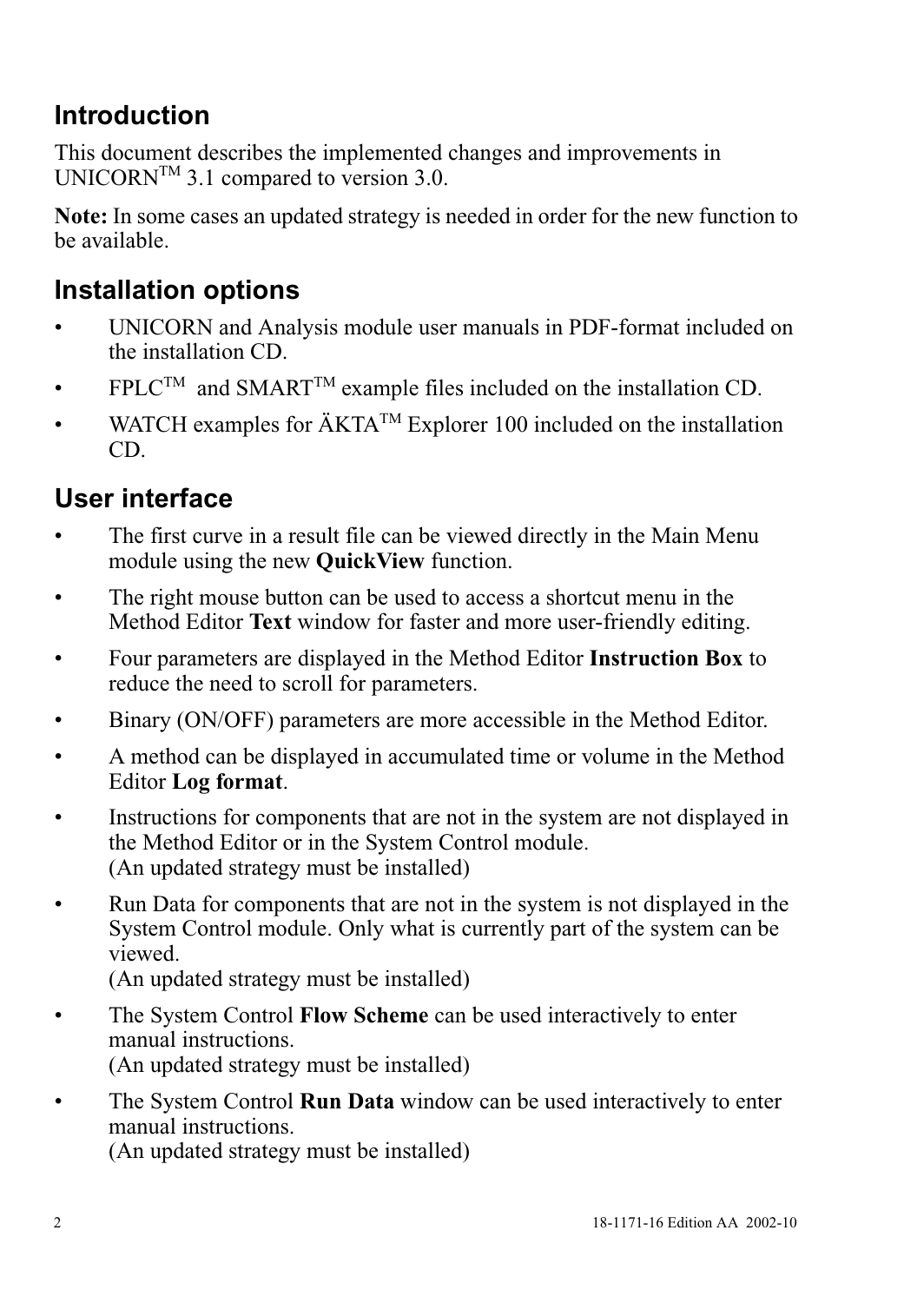## **Introduction**

This document describes the implemented changes and improvements in UNICORN<sup>TM</sup> 3.1 compared to version 3.0.

**Note:** In some cases an updated strategy is needed in order for the new function to be available.

## **Installation options**

- UNICORN and Analysis module user manuals in PDF-format included on the installation CD.
- FPLC<sup>TM</sup> and SMART<sup>TM</sup> example files included on the installation CD.
- WATCH examples for  $\text{AKTA}^{\text{TM}}$  Explorer 100 included on the installation CD.

## **User interface**

- The first curve in a result file can be viewed directly in the Main Menu module using the new **QuickView** function.
- The right mouse button can be used to access a shortcut menu in the Method Editor **Text** window for faster and more user-friendly editing.
- Four parameters are displayed in the Method Editor **Instruction Box** to reduce the need to scroll for parameters.
- Binary (ON/OFF) parameters are more accessible in the Method Editor.
- A method can be displayed in accumulated time or volume in the Method Editor **Log format**.
- Instructions for components that are not in the system are not displayed in the Method Editor or in the System Control module. (An updated strategy must be installed)
- Run Data for components that are not in the system is not displayed in the System Control module. Only what is currently part of the system can be viewed.

(An updated strategy must be installed)

- The System Control **Flow Scheme** can be used interactively to enter manual instructions. (An updated strategy must be installed)
- The System Control **Run Data** window can be used interactively to enter manual instructions.

(An updated strategy must be installed)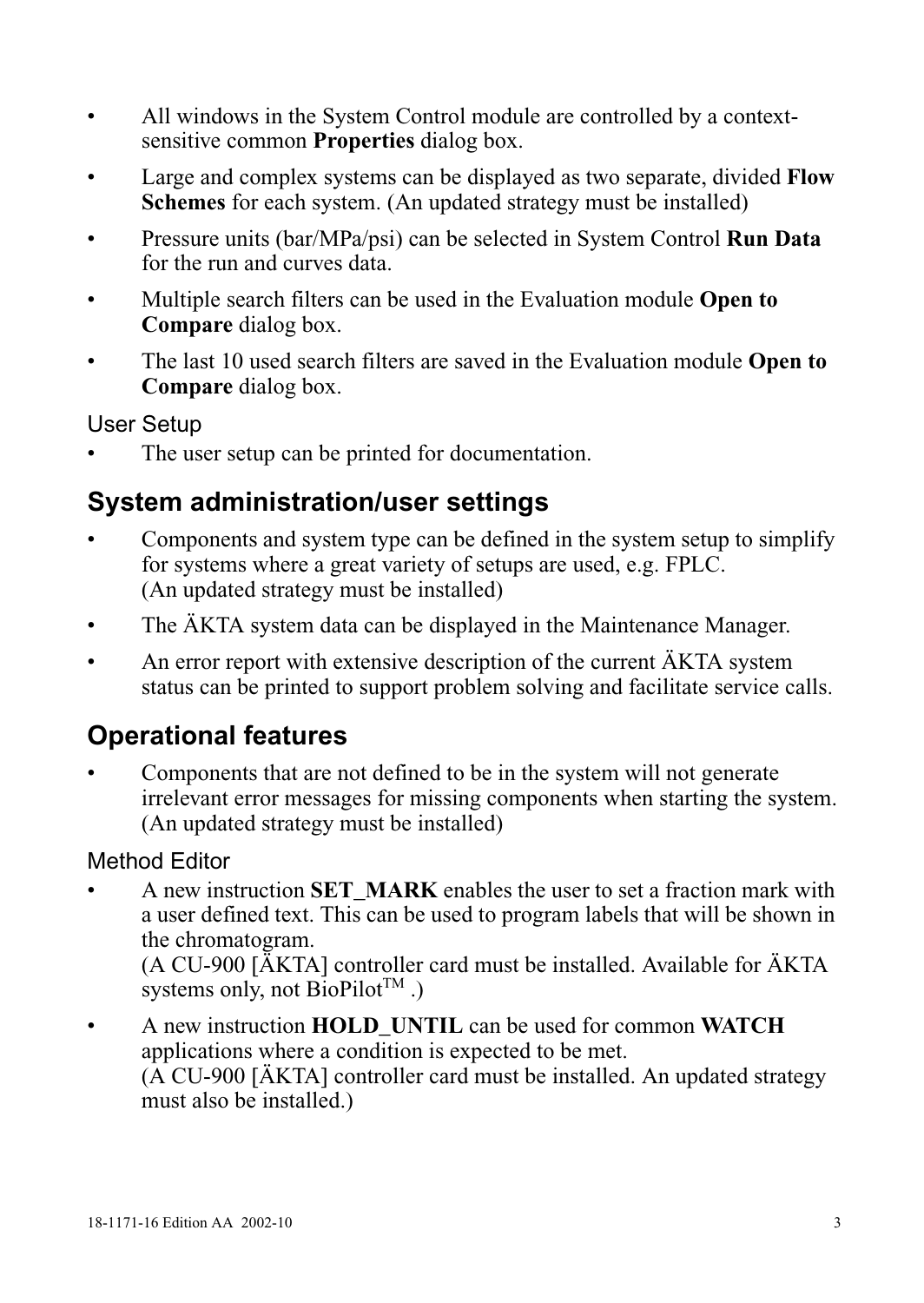- All windows in the System Control module are controlled by a contextsensitive common **Properties** dialog box.
- Large and complex systems can be displayed as two separate, divided **Flow Schemes** for each system. (An updated strategy must be installed)
- Pressure units (bar/MPa/psi) can be selected in System Control **Run Data** for the run and curves data.
- Multiple search filters can be used in the Evaluation module **Open to Compare** dialog box.
- The last 10 used search filters are saved in the Evaluation module **Open to Compare** dialog box.

User Setup

The user setup can be printed for documentation.

## **System administration/user settings**

- Components and system type can be defined in the system setup to simplify for systems where a great variety of setups are used, e.g. FPLC. (An updated strategy must be installed)
- The AKTA system data can be displayed in the Maintenance Manager.
- An error report with extensive description of the current  $\ddot{A}KTA$  system status can be printed to support problem solving and facilitate service calls.

## **Operational features**

• Components that are not defined to be in the system will not generate irrelevant error messages for missing components when starting the system. (An updated strategy must be installed)

#### Method Editor

• A new instruction **SET\_MARK** enables the user to set a fraction mark with a user defined text. This can be used to program labels that will be shown in the chromatogram.

(A CU-900 [ÄKTA] controller card must be installed. Available for ÄKTA systems only, not  $\text{BioPilot}^{\text{TM}}$ .)

• A new instruction **HOLD\_UNTIL** can be used for common **WATCH** applications where a condition is expected to be met. (A CU-900 [ÄKTA] controller card must be installed. An updated strategy must also be installed.)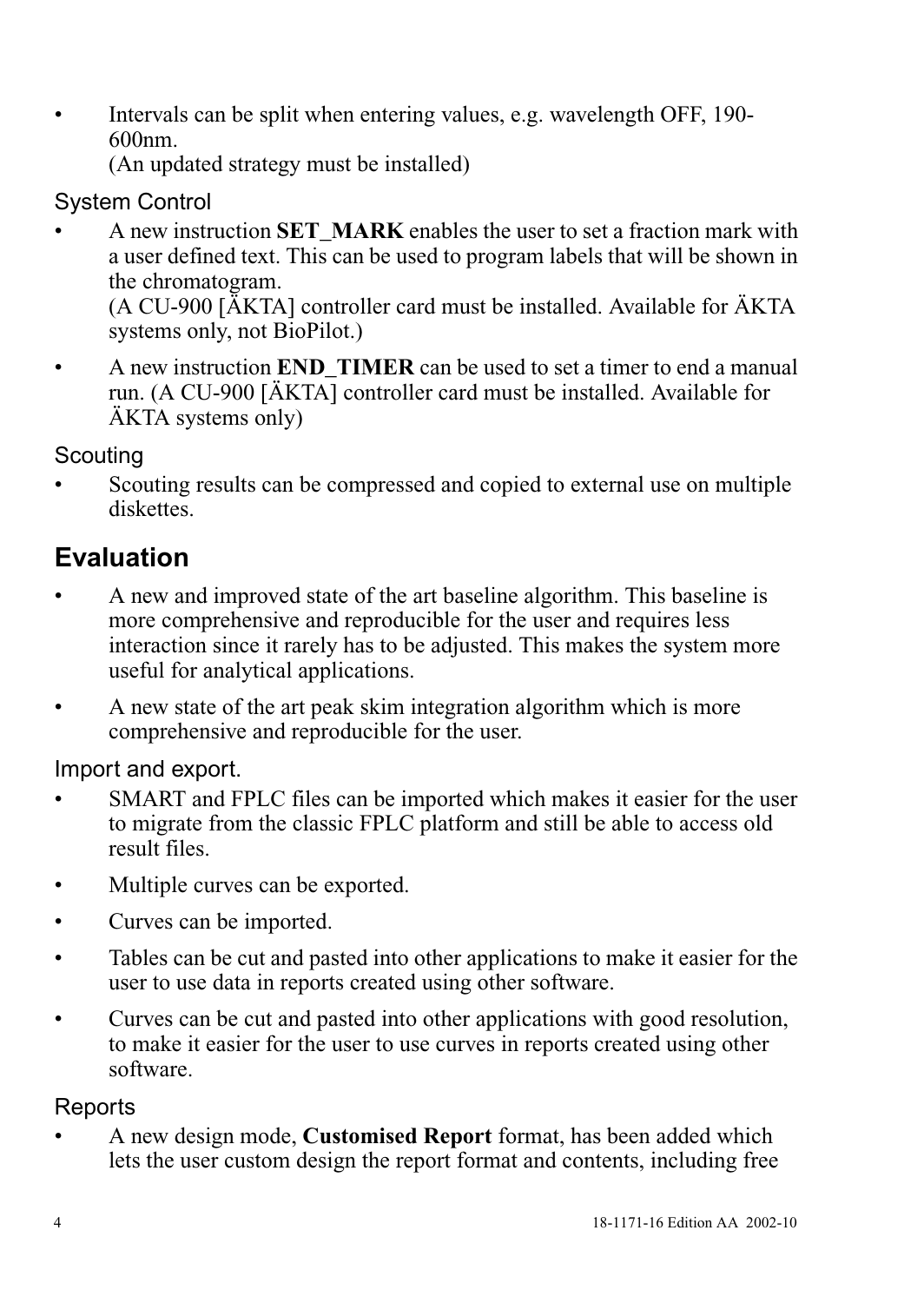• Intervals can be split when entering values, e.g. wavelength OFF, 190- 600nm.

(An updated strategy must be installed)

#### System Control

• A new instruction **SET\_MARK** enables the user to set a fraction mark with a user defined text. This can be used to program labels that will be shown in the chromatogram. (A CU-900 [ÄKTA] controller card must be installed. Available for ÄKTA

systems only, not BioPilot.)

• A new instruction **END\_TIMER** can be used to set a timer to end a manual run. (A CU-900 [ÄKTA] controller card must be installed. Available for ÄKTA systems only)

### Scouting

• Scouting results can be compressed and copied to external use on multiple diskettes.

# **Evaluation**

- A new and improved state of the art baseline algorithm. This baseline is more comprehensive and reproducible for the user and requires less interaction since it rarely has to be adjusted. This makes the system more useful for analytical applications.
- A new state of the art peak skim integration algorithm which is more comprehensive and reproducible for the user.

Import and export.

- SMART and FPLC files can be imported which makes it easier for the user to migrate from the classic FPLC platform and still be able to access old result files.
- Multiple curves can be exported.
- Curves can be imported.
- Tables can be cut and pasted into other applications to make it easier for the user to use data in reports created using other software.
- Curves can be cut and pasted into other applications with good resolution, to make it easier for the user to use curves in reports created using other software.

#### Reports

• A new design mode, **Customised Report** format, has been added which lets the user custom design the report format and contents, including free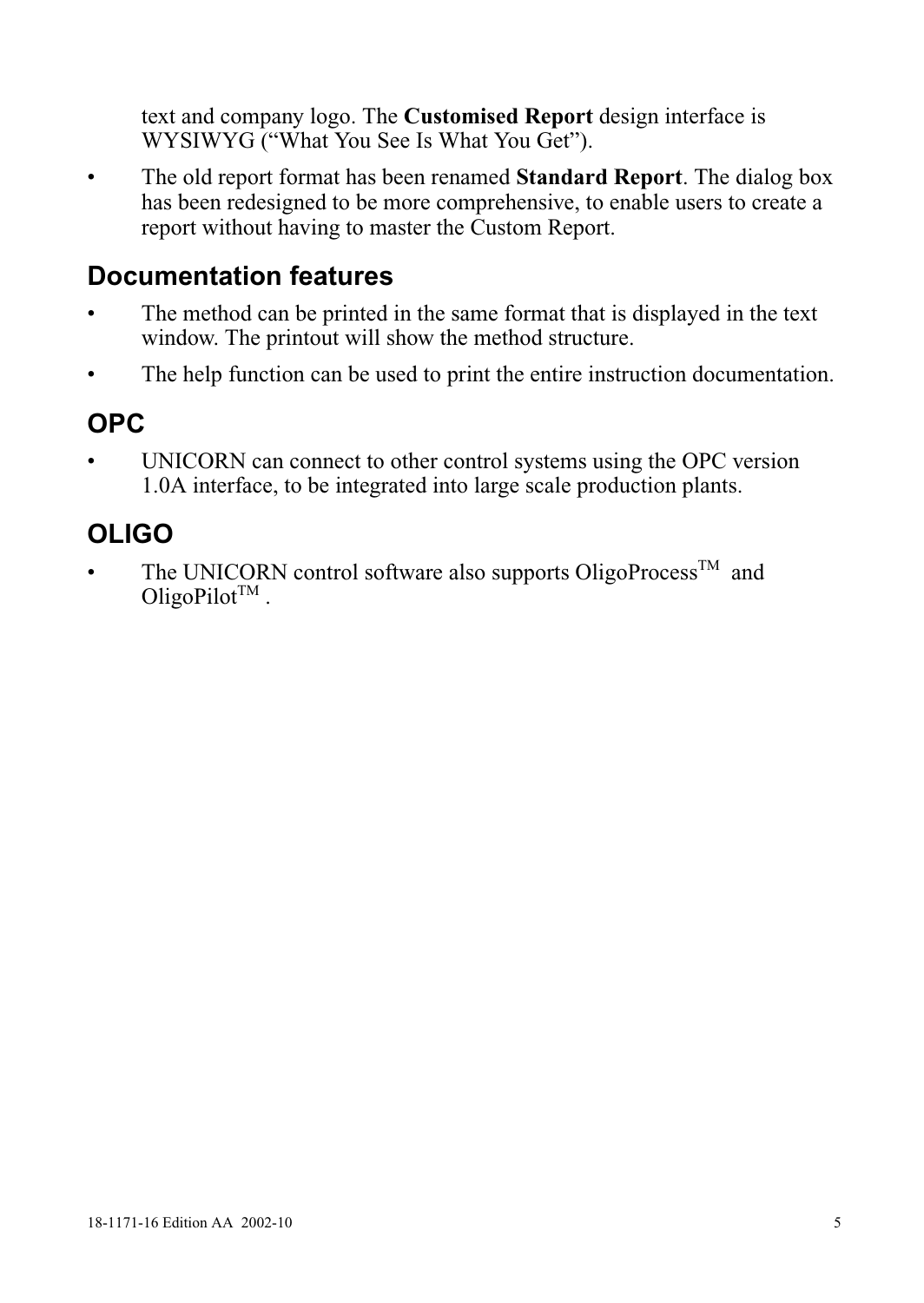text and company logo. The **Customised Report** design interface is WYSIWYG ("What You See Is What You Get").

• The old report format has been renamed **Standard Report**. The dialog box has been redesigned to be more comprehensive, to enable users to create a report without having to master the Custom Report.

### **Documentation features**

- The method can be printed in the same format that is displayed in the text window. The printout will show the method structure.
- The help function can be used to print the entire instruction documentation.

## **OPC**

UNICORN can connect to other control systems using the OPC version 1.0A interface, to be integrated into large scale production plants.

## **OLIGO**

The UNICORN control software also supports OligoProcess<sup>TM</sup> and OligoPilot<sup>TM</sup>.